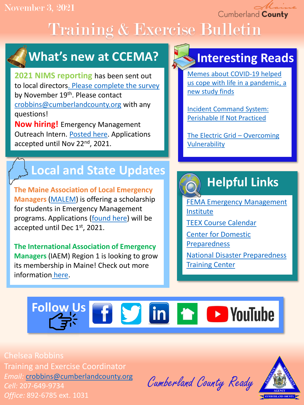November 3, 2021

Cumberland County

# Training & Exercise Bulletin

## **What's new at CCEMA?**

**2021 NIMS reporting** has been sent out to local directors[. Please complete the survey](https://docs.google.com/forms/d/e/1FAIpQLSe03qLRsoO81TlkULO_jBGKXiDMP0vXdp_tVt7ul07PG1hTGw/viewform?usp=sf_link) by November 19th. Please contact [crobbins@cumberlandcounty.org](mailto:crobbins@cumberlandcounty.org) with any questions!

**Now hiring!** Emergency Management Outreach Intern. [Posted here.](https://www.cumberlandcounty.org/DocumentCenter/View/7053/EMA-Public-Outreach-Internship--Winter-2022) Applications accepted until Nov 22<sup>nd</sup>, 2021.

### **Local and State Updates**

**The Maine Association of Local Emergency Managers** ([MALEM\)](https://www.malem.org/) is offering a scholarship for students in Emergency Management programs. Applications [\(found here\)](https://www.malem.org/wp-content/uploads/2021/09/2021-EM-Scholarship-Flyer_MALEM.pdf) will be accepted until Dec 1<sup>st</sup>, 2021.

**The International Association of Emergency Managers** (IAEM) Region 1 is looking to grow its membership in Maine! Check out more information [here](https://www.iaem.org/About).

### **Interesting Reads**

Memes about COVID-19 helped [us cope with life in a pandemic, a](https://www.npr.org/sections/coronavirus-live-updates/2021/10/21/1047736825/memes-about-covid-19-helped-us-cope-with-life-in-a-pandemic-a-new-study-finds)  new study finds

[Incident Command System:](https://www.domesticpreparedness.com/preparedness/incident-command-system-perishable-if-not-practiced/)  Perishable If Not Practiced

[The Electric Grid](https://www.domesticpreparedness.com/resilience/the-electric-grid-overcoming-vulnerability/) – Overcoming Vulnerability

### **Helpful Links**

[FEMA Emergency Management](https://training.fema.gov/is/) Institute

- [TEEX Course Calendar](https://teex.org/course-calendar/)
- [Center for Domestic](https://cdp.dhs.gov/)  Preparedness

[National Disaster Preparedness](https://ndptc.hawaii.edu/training/)  **Training Center** 

# Follow Us **f S** in **h V** YouTube

Chelsea Robbins Training and Exercise Coordinator *Email:* [crobbins@cumberlandcounty.org](mailto:crobbins@cumberlandcounty.org) *Cell:* 207-649-9734 *Office:* 892-6785 ext. 1031

Cumberland County Ready